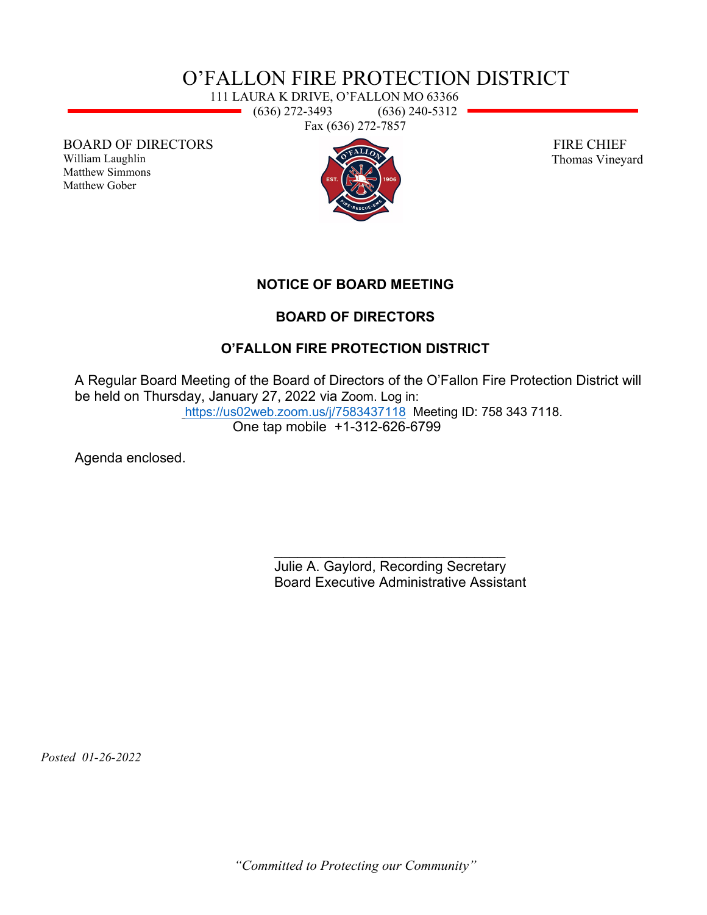## O'FALLON FIRE PROTECTION DISTRICT

111 LAURA K DRIVE, O'FALLON MO 63366 (636) 272-3493 (636) 240-5312 Fax (636) 272-7857

BOARD OF DIRECTORS

William Laughlin Matthew Simmons Matthew Gober



 FIRE CHIEF Thomas Vineyard

**NOTICE OF BOARD MEETING**

## **BOARD OF DIRECTORS**

## **O'FALLON FIRE PROTECTION DISTRICT**

A Regular Board Meeting of the Board of Directors of the O'Fallon Fire Protection District will be held on Thursday, January 27, 2022 via Zoom. Log in: <https://us02web.zoom.us/j/7583437118> Meeting ID: 758 343 7118.

One tap mobile +1-312-626-6799

Agenda enclosed.

\_\_\_\_\_\_\_\_\_\_\_\_\_\_\_\_\_\_\_\_\_\_\_\_\_\_\_\_\_\_ Julie A. Gaylord, Recording Secretary Board Executive Administrative Assistant

 *Posted 01-26-2022*

*"Committed to Protecting our Community"*